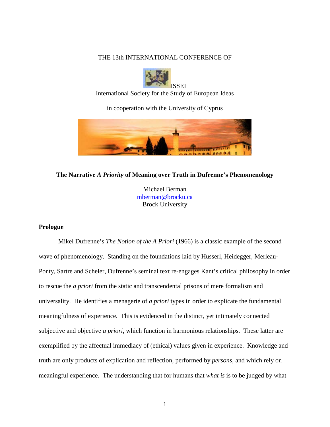# THE 13th INTERNATIONAL CONFERENCE OF



International Society for the Study of European Ideas

in cooperation with the University of Cyprus



## **The Narrative** *A Priority* **of Meaning over Truth in Dufrenne's Phenomenology**

Michael Berman [mberman@brocku.ca](mailto:mberman@brocku.ca) Brock University

## **Prologue**

Mikel Dufrenne's *The Notion of the A Priori* (1966) is a classic example of the second wave of phenomenology. Standing on the foundations laid by Husserl, Heidegger, Merleau-Ponty, Sartre and Scheler, Dufrenne's seminal text re-engages Kant's critical philosophy in order to rescue the *a priori* from the static and transcendental prisons of mere formalism and universality. He identifies a menagerie of *a priori* types in order to explicate the fundamental meaningfulness of experience. This is evidenced in the distinct, yet intimately connected subjective and objective *a priori*, which function in harmonious relationships. These latter are exemplified by the affectual immediacy of (ethical) values given in experience. Knowledge and truth are only products of explication and reflection, performed by *persons*, and which rely on meaningful experience. The understanding that for humans that *what is* is to be judged by what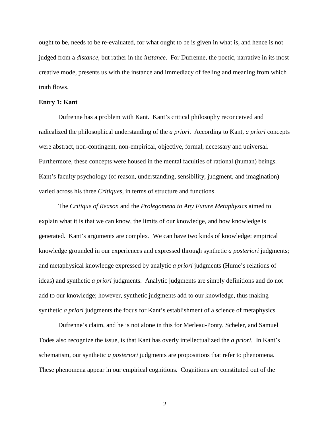ought to be, needs to be re-evaluated, for what ought to be is given in what is, and hence is not judged from a *distance*, but rather in the *instance*. For Dufrenne, the poetic, narrative in its most creative mode, presents us with the instance and immediacy of feeling and meaning from which truth flows.

#### **Entry 1: Kant**

Dufrenne has a problem with Kant. Kant's critical philosophy reconceived and radicalized the philosophical understanding of the *a priori*. According to Kant, *a priori* concepts were abstract, non-contingent, non-empirical, objective, formal, necessary and universal. Furthermore, these concepts were housed in the mental faculties of rational (human) beings. Kant's faculty psychology (of reason, understanding, sensibility, judgment, and imagination) varied across his three *Critiques*, in terms of structure and functions.

The *Critique of Reason* and the *Prolegomena to Any Future Metaphysics* aimed to explain what it is that we can know, the limits of our knowledge, and how knowledge is generated. Kant's arguments are complex. We can have two kinds of knowledge: empirical knowledge grounded in our experiences and expressed through synthetic *a posteriori* judgments; and metaphysical knowledge expressed by analytic *a priori* judgments (Hume's relations of ideas) and synthetic *a priori* judgments. Analytic judgments are simply definitions and do not add to our knowledge; however, synthetic judgments add to our knowledge, thus making synthetic *a priori* judgments the focus for Kant's establishment of a science of metaphysics.

Dufrenne's claim, and he is not alone in this for Merleau-Ponty, Scheler, and Samuel Todes also recognize the issue, is that Kant has overly intellectualized the *a priori*. In Kant's schematism, our synthetic *a posteriori* judgments are propositions that refer to phenomena. These phenomena appear in our empirical cognitions. Cognitions are constituted out of the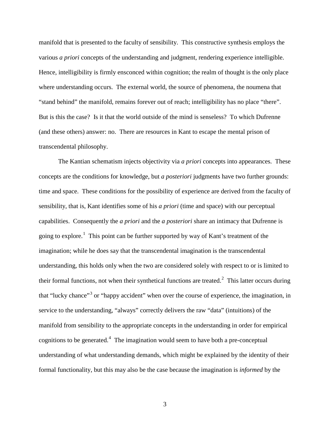manifold that is presented to the faculty of sensibility. This constructive synthesis employs the various *a priori* concepts of the understanding and judgment, rendering experience intelligible. Hence, intelligibility is firmly ensconced within cognition; the realm of thought is the only place where understanding occurs. The external world, the source of phenomena, the noumena that "stand behind" the manifold, remains forever out of reach; intelligibility has no place "there". But is this the case? Is it that the world outside of the mind is senseless? To which Dufrenne (and these others) answer: no. There are resources in Kant to escape the mental prison of transcendental philosophy.

The Kantian schematism injects objectivity via *a priori* concepts into appearances. These concepts are the conditions for knowledge, but *a posteriori* judgments have two further grounds: time and space. These conditions for the possibility of experience are derived from the faculty of sensibility, that is, Kant identifies some of his *a priori* (time and space) with our perceptual capabilities. Consequently the *a priori* and the *a posteriori* share an intimacy that Dufrenne is going to explore.<sup>[1](#page-9-0)</sup> This point can be further supported by way of Kant's treatment of the imagination; while he does say that the transcendental imagination is the transcendental understanding, this holds only when the two are considered solely with respect to or is limited to their formal functions, not when their synthetical functions are treated.<sup>[2](#page-9-1)</sup> This latter occurs during that "lucky chance"<sup>[3](#page-9-2)</sup> or "happy accident" when over the course of experience, the imagination, in service to the understanding, "always" correctly delivers the raw "data" (intuitions) of the manifold from sensibility to the appropriate concepts in the understanding in order for empirical cognitions to be generated.<sup>[4](#page-9-3)</sup> The imagination would seem to have both a pre-conceptual understanding of what understanding demands, which might be explained by the identity of their formal functionality, but this may also be the case because the imagination is *informed* by the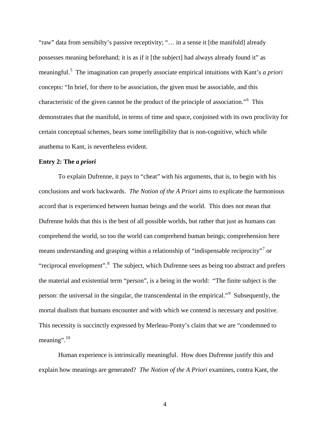"raw" data from sensibilty's passive receptivity; "… in a sense it [the manifold] already possesses meaning beforehand; it is as if it [the subject] had always already found it" as meaningful.[5](#page-9-4) The imagination can properly associate empirical intuitions with Kant's *a priori* concepts: "In brief, for there to be association, the given must be associable, and this characteristic of the given cannot be the product of the principle of association."[6](#page-9-5) This demonstrates that the manifold, in terms of time and space, conjoined with its own proclivity for certain conceptual schemes, bears some intelligibility that is non-cognitive, which while anathema to Kant, is nevertheless evident.

## **Entry 2: The** *a priori*

To explain Dufrenne, it pays to "cheat" with his arguments, that is, to begin with his conclusions and work backwards. *The Notion of the A Priori* aims to explicate the harmonious accord that is experienced between human beings and the world. This does not mean that Dufrenne holds that this is the best of all possible worlds, but rather that just as humans can comprehend the world, so too the world can comprehend human beings; comprehension here means understanding and grasping within a relationship of "indispensable reciprocity"<sup>[7](#page-9-6)</sup> or "reciprocal envelopment".<sup>[8](#page-9-7)</sup> The subject, which Dufrenne sees as being too abstract and prefers the material and existential term "person", is a being in the world: "The finite subject is the person: the universal in the singular, the transcendental in the empirical."<sup>[9](#page-9-8)</sup> Subsequently, the mortal dualism that humans encounter and with which we contend is necessary and positive. This necessity is succinctly expressed by Merleau-Ponty's claim that we are "condemned to meaning". $10$ 

Human experience is intrinsically meaningful. How does Dufrenne justify this and explain how meanings are generated? *The Notion of the A Priori* examines, contra Kant, the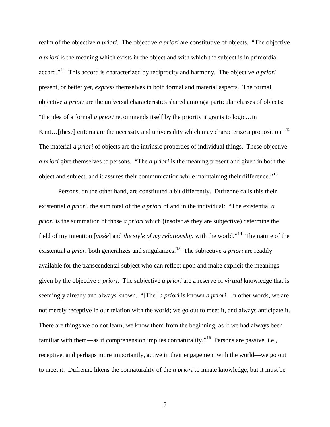realm of the objective *a priori*. The objective *a priori* are constitutive of objects. "The objective *a priori* is the meaning which exists in the object and with which the subject is in primordial accord."[11](#page-9-10) This accord is characterized by reciprocity and harmony. The objective *a priori* present, or better yet, *express* themselves in both formal and material aspects. The formal objective *a priori* are the universal characteristics shared amongst particular classes of objects: "the idea of a formal *a priori* recommends itself by the priority it grants to logic…in Kant... [these] criteria are the necessity and universality which may characterize a proposition."<sup>[12](#page-9-11)</sup> The material *a priori* of objects are the intrinsic properties of individual things. These objective *a priori* give themselves to persons. "The *a priori* is the meaning present and given in both the object and subject, and it assures their communication while maintaining their difference."<sup>[13](#page-9-12)</sup>

Persons, on the other hand, are constituted a bit differently. Dufrenne calls this their existential *a priori*, the sum total of the *a priori* of and in the individual: "The existential *a priori* is the summation of those *a priori* which (insofar as they are subjective) determine the field of my intention [*visée*] and *the style of my relationship* with the world."[14](#page-9-13) The nature of the existential *a priori* both generalizes and singularizes.<sup>[15](#page-9-14)</sup> The subjective *a priori* are readily available for the transcendental subject who can reflect upon and make explicit the meanings given by the objective *a priori*. The subjective *a priori* are a reserve of *virtual* knowledge that is seemingly already and always known. "[The] *a priori* is known *a priori*. In other words, we are not merely receptive in our relation with the world; we go out to meet it, and always anticipate it. There are things we do not learn; we know them from the beginning, as if we had always been familiar with them—as if comprehension implies connaturality."<sup>16</sup> Persons are passive, i.e., receptive, and perhaps more importantly, active in their engagement with the world—we go out to meet it. Dufrenne likens the connaturality of the *a priori* to innate knowledge, but it must be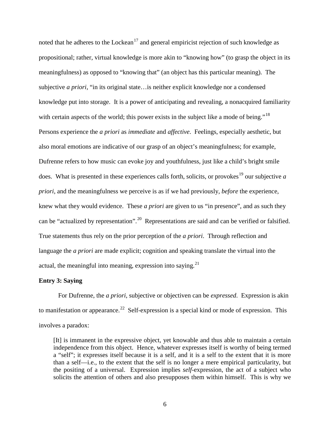noted that he adheres to the Lockean<sup>[17](#page-10-1)</sup> and general empiricist rejection of such knowledge as propositional; rather, virtual knowledge is more akin to "knowing how" (to grasp the object in its meaningfulness) as opposed to "knowing that" (an object has this particular meaning). The subjective *a priori*, "in its original state…is neither explicit knowledge nor a condensed knowledge put into storage. It is a power of anticipating and revealing, a nonacquired familiarity with certain aspects of the world; this power exists in the subject like a mode of being."<sup>[18](#page-10-2)</sup> Persons experience the *a priori* as *immediate* and *affective*. Feelings, especially aesthetic, but also moral emotions are indicative of our grasp of an object's meaningfulness; for example, Dufrenne refers to how music can evoke joy and youthfulness, just like a child's bright smile does. What is presented in these experiences calls forth, solicits, or provokes<sup>[19](#page-10-3)</sup> our subjective  $a$ *priori*, and the meaningfulness we perceive is as if we had previously, *before* the experience, knew what they would evidence. These *a priori* are given to us "in presence", and as such they can be "actualized by representation".<sup>20</sup> Representations are said and can be verified or falsified. True statements thus rely on the prior perception of the *a priori*. Through reflection and language the *a priori* are made explicit; cognition and speaking translate the virtual into the actual, the meaningful into meaning, expression into saying.<sup>[21](#page-10-5)</sup>

### **Entry 3: Saying**

For Dufrenne, the *a priori*, subjective or objectiven can be *expressed*. Expression is akin to manifestation or appearance.<sup>[22](#page-10-6)</sup> Self-expression is a special kind or mode of expression. This involves a paradox:

[It] is immanent in the expressive object, yet knowable and thus able to maintain a certain independence from this object. Hence, whatever expresses itself is worthy of being termed a "self"; it expresses itself because it is a self, and it is a self to the extent that it is more than a self—i.e., to the extent that the self is no longer a mere empirical particularity, but the positing of a universal. Expression implies *self*-expression, the act of a subject who solicits the attention of others and also presupposes them within himself. This is why we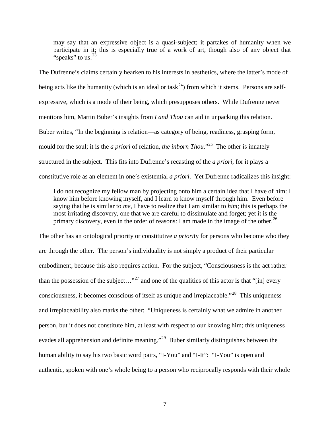may say that an expressive object is a quasi-subject; it partakes of humanity when we participate in it; this is especially true of a work of art, though also of any object that "speaks" to us.  $23$ 

The Dufrenne's claims certainly hearken to his interests in aesthetics, where the latter's mode of being acts like the humanity (which is an ideal or task<sup>[24](#page-10-8)</sup>) from which it stems. Persons are selfexpressive, which is a mode of their being, which presupposes others. While Dufrenne never mentions him, Martin Buber's insights from *I and Thou* can aid in unpacking this relation. Buber writes, "In the beginning is relation—as category of being, readiness, grasping form, mould for the soul; it is the *a priori* of relation, *the inborn Thou*."<sup>[25](#page-10-9)</sup> The other is innately structured in the subject. This fits into Dufrenne's recasting of the *a priori*, for it plays a constitutive role as an element in one's existential *a priori*. Yet Dufrenne radicalizes this insight:

I do not recognize my fellow man by projecting onto him a certain idea that I have of him: I know him before knowing myself, and I learn to know myself through him. Even before saying that he is similar to *me*, I have to realize that I am similar to *him*; this is perhaps the most irritating discovery, one that we are careful to dissimulate and forget; yet it is the primary discovery, even in the order of reasons: I am made in the image of the other.<sup>[26](#page-10-10)</sup>

The other has an ontological priority or constitutive *a priori*ty for persons who become who they are through the other. The person's individuality is not simply a product of their particular embodiment, because this also requires action. For the subject, "Consciousness is the act rather than the possession of the subject..."<sup>[27](#page-10-11)</sup> and one of the qualities of this actor is that "[in] every consciousness, it becomes conscious of itself as unique and irreplaceable."<sup>28</sup> This uniqueness and irreplaceability also marks the other: "Uniqueness is certainly what we admire in another person, but it does not constitute him, at least with respect to our knowing him; this uniqueness evades all apprehension and definite meaning."<sup>29</sup> Buber similarly distinguishes between the human ability to say his two basic word pairs, "I-You" and "I-It": "I-You" is open and authentic, spoken with one's whole being to a person who reciprocally responds with their whole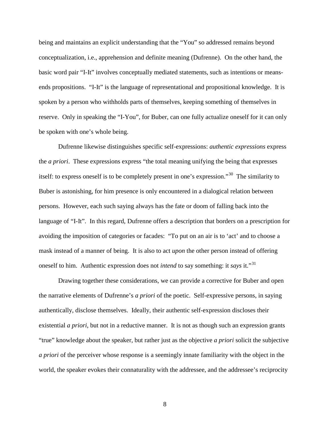being and maintains an explicit understanding that the "You" so addressed remains beyond conceptualization, i.e., apprehension and definite meaning (Dufrenne). On the other hand, the basic word pair "I-It" involves conceptually mediated statements, such as intentions or meansends propositions. "I-It" is the language of representational and propositional knowledge. It is spoken by a person who withholds parts of themselves, keeping something of themselves in reserve. Only in speaking the "I-You", for Buber, can one fully actualize oneself for it can only be spoken with one's whole being.

Dufrenne likewise distinguishes specific self-expressions: *authentic expressions* express the *a priori*. These expressions express "the total meaning unifying the being that expresses itself: to express oneself is to be completely present in one's expression."[30](#page-10-14) The similarity to Buber is astonishing, for him presence is only encountered in a dialogical relation between persons. However, each such saying always has the fate or doom of falling back into the language of "I-It". In this regard, Dufrenne offers a description that borders on a prescription for avoiding the imposition of categories or facades: "To put on an air is to 'act' and to choose a mask instead of a manner of being. It is also to act *upon* the other person instead of offering oneself to him. Authentic expression does not *intend* to say something: it *says* it."[31](#page-10-15)

Drawing together these considerations, we can provide a corrective for Buber and open the narrative elements of Dufrenne's *a priori* of the poetic. Self-expressive persons, in saying authentically, disclose themselves. Ideally, their authentic self-expression discloses their existential *a priori*, but not in a reductive manner. It is not as though such an expression grants "true" knowledge about the speaker, but rather just as the objective *a priori* solicit the subjective *a priori* of the perceiver whose response is a seemingly innate familiarity with the object in the world, the speaker evokes their connaturality with the addressee, and the addressee's reciprocity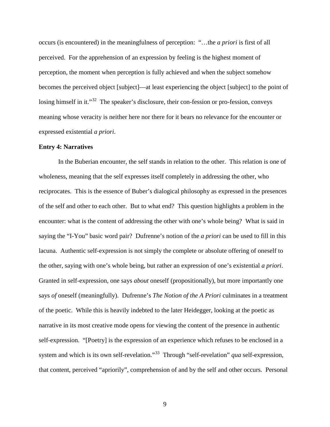occurs (is encountered) in the meaningfulness of perception: "…the *a priori* is first of all perceived. For the apprehension of an expression by feeling is the highest moment of perception, the moment when perception is fully achieved and when the subject somehow becomes the perceived object [subject]—at least experiencing the object [subject] to the point of losing himself in it."<sup>[32](#page-10-16)</sup> The speaker's disclosure, their con-fession or pro-fession, conveys meaning whose veracity is neither here nor there for it bears no relevance for the encounter or expressed existential *a priori*.

### **Entry 4: Narratives**

In the Buberian encounter, the self stands in relation to the other. This relation is one of wholeness, meaning that the self expresses itself completely in addressing the other, who reciprocates. This is the essence of Buber's dialogical philosophy as expressed in the presences of the self and other to each other. But to what end? This question highlights a problem in the encounter: what is the content of addressing the other with one's whole being? What is said in saying the "I-You" basic word pair? Dufrenne's notion of the *a priori* can be used to fill in this lacuna. Authentic self-expression is not simply the complete or absolute offering of oneself to the other, saying with one's whole being, but rather an expression of one's existential *a priori*. Granted in self-expression, one says *about* oneself (propositionally), but more importantly one says *of* oneself (meaningfully). Dufrenne's *The Notion of the A Priori* culminates in a treatment of the poetic. While this is heavily indebted to the later Heidegger, looking at the poetic as narrative in its most creative mode opens for viewing the content of the presence in authentic self-expression. "[Poetry] is the expression of an experience which refuses to be enclosed in a system and which is its own self-revelation."[33](#page-10-17) Through "self-revelation" *qua* self-expression, that content, perceived "apriorily", comprehension of and by the self and other occurs. Personal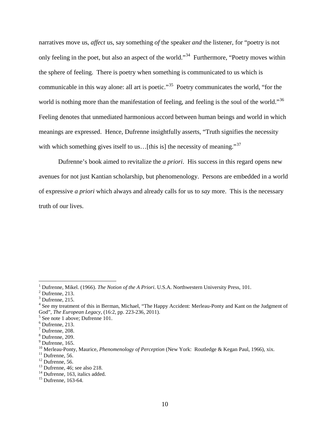narratives move us, *affect* us, say something *of* the speaker *and* the listener, for "poetry is not only feeling in the poet, but also an aspect of the world."<sup>[34](#page-10-18)</sup> Furthermore, "Poetry moves within the sphere of feeling. There is poetry when something is communicated to us which is communicable in this way alone: all art is poetic."<sup>35</sup> Poetry communicates the world, "for the world is nothing more than the manifestation of feeling, and feeling is the soul of the world."<sup>[36](#page-10-20)</sup> Feeling denotes that unmediated harmonious accord between human beings and world in which meanings are expressed. Hence, Dufrenne insightfully asserts, "Truth signifies the necessity with which something gives itself to us... [this is] the necessity of meaning." $37$ 

Dufrenne's book aimed to revitalize the *a priori*. His success in this regard opens new avenues for not just Kantian scholarship, but phenomenology. Persons are embedded in a world of expressive *a priori* which always and already calls for us to *say* more. This is the necessary truth of our lives.

<span id="page-9-0"></span><sup>&</sup>lt;sup>1</sup> Dufrenne, Mikel. (1966). *The Notion of the A Priori*. U.S.A. Northwestern University Press, 101. <sup>2</sup> Dufrenne, 213.

<span id="page-9-2"></span><span id="page-9-1"></span> $3$  Dufrenne, 215.

<span id="page-9-3"></span><sup>&</sup>lt;sup>4</sup> See my treatment of this in Berman, Michael, "The Happy Accident: Merleau-Ponty and Kant on the Judgment of God", *The European Legacy*, (16:2, pp. 223-236, 2011). <sup>5</sup> See note 1 above; Dufrenne 101.

<span id="page-9-4"></span>

<span id="page-9-5"></span> $6$  Dufrenne, 213.

<span id="page-9-6"></span> $<sup>7</sup>$  Dufrenne, 208.</sup>

<span id="page-9-7"></span> $8$  Dufrenne, 209.

<span id="page-9-8"></span> $<sup>9</sup>$  Dufrenne, 165.</sup>

<span id="page-9-9"></span><sup>&</sup>lt;sup>10</sup> Merleau-Ponty, Maurice, *Phenomenology of Perception* (New York: Routledge & Kegan Paul, 1966), xix.<br><sup>11</sup> Dufrenne, 56.<br><sup>12</sup> Dufrenne, 56.<br><sup>13</sup> Dufrenne, 46; see also 218.<br><sup>14</sup> Dufrenne, 163, italics added.<br><sup>15</sup> Dufr

<span id="page-9-10"></span>

<span id="page-9-12"></span><span id="page-9-11"></span>

<span id="page-9-14"></span><span id="page-9-13"></span>